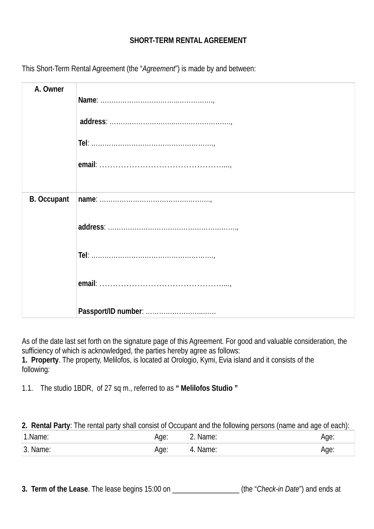## **SHORT-TERM RENTAL AGREEMENT**

| A. Owner           |  |
|--------------------|--|
|                    |  |
|                    |  |
|                    |  |
|                    |  |
|                    |  |
| <b>B. Occupant</b> |  |
|                    |  |
|                    |  |
|                    |  |
|                    |  |

This Short-Term Rental Agreement (the "*Agreement*") is made by and between:

As of the date last set forth on the signature page of this Agreement. For good and valuable consideration, the sufficiency of which is acknowledged, the parties hereby agree as follows: **1. Property**. The property, Melilofos, is located at Orologio, Kymi, Evia island and it consists of the following*:*

1.1. The studio 1BDR, of 27 sq m., referred to as **" Melilofos Studio "**

**2. Rental Party**: The rental party shall consist of Occupant and the following persons (name and age of each):

| 1.Name:          | /de: | Name:<br><u>.</u>     | Age: |
|------------------|------|-----------------------|------|
| ⊥?∶<br>'3. Name: | Age: | <sup>1</sup> 4. Name: | Age: |

**3. Term of the Lease**. The lease begins 15:00 on  $($ the "*Check-in Date*") and ends at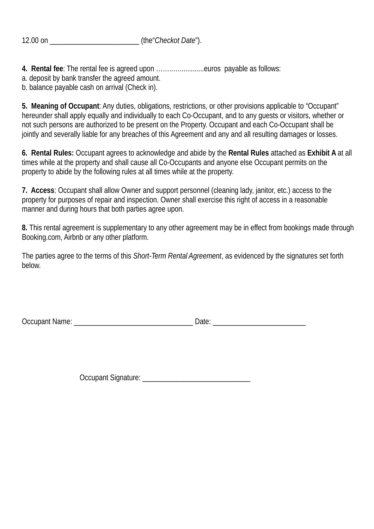**4. Rental fee**: The rental fee is agreed upon ……..….............euros payable as follows:

a. deposit by bank transfer the agreed amount.

b. balance payable cash on arrival (Check in).

**5. Meaning of Occupant**: Any duties, obligations, restrictions, or other provisions applicable to "Occupant" hereunder shall apply equally and individually to each Co-Occupant, and to any guests or visitors, whether or not such persons are authorized to be present on the Property. Occupant and each Co-Occupant shall be jointly and severally liable for any breaches of this Agreement and any and all resulting damages or losses.

**6. Rental Rules:** Occupant agrees to acknowledge and abide by the **Rental Rules** attached as **Exhibit A** at all times while at the property and shall cause all Co-Occupants and anyone else Occupant permits on the property to abide by the following rules at all times while at the property.

**7. Access**: Occupant shall allow Owner and support personnel (cleaning lady, janitor, etc.) access to the property for purposes of repair and inspection. Owner shall exercise this right of access in a reasonable manner and during hours that both parties agree upon.

**8.** This rental agreement is supplementary to any other agreement may be in effect from bookings made through Booking.com, Airbnb or any other platform.

The parties agree to the terms of this *Short-Term Rental Agreement*, as evidenced by the signatures set forth below.

Occupant Name: <br>
Date:

Occupant Signature: \_\_\_\_\_\_\_\_\_\_\_\_\_\_\_\_\_\_\_\_\_\_\_\_\_\_\_\_\_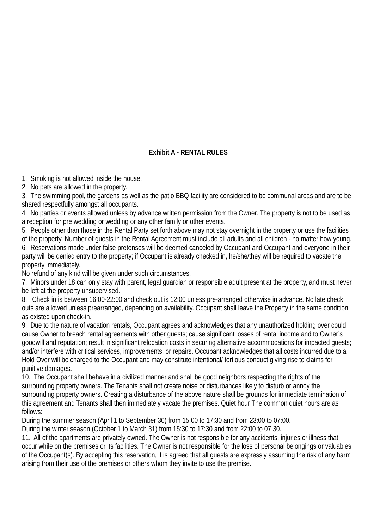## **Exhibit A - RENTAL RULES**

1. Smoking is not allowed inside the house.

2. No pets are allowed in the property.

3. The swimming pool, the gardens as well as the patio BBQ facility are considered to be communal areas and are to be shared respectfully amongst all occupants.

4. No parties or events allowed unless by advance written permission from the Owner. The property is not to be used as a reception for pre wedding or wedding or any other family or other events.

5. People other than those in the Rental Party set forth above may not stay overnight in the property or use the facilities of the property. Number of guests in the Rental Agreement must include all adults and all children - no matter how young. 6. Reservations made under false pretenses will be deemed canceled by Occupant and Occupant and everyone in their party will be denied entry to the property; if Occupant is already checked in, he/she/they will be required to vacate the property immediately.

No refund of any kind will be given under such circumstances.

7. Minors under 18 can only stay with parent, legal guardian or responsible adult present at the property, and must never be left at the property unsupervised.

8. Check in is between 16:00-22:00 and check out is 12:00 unless pre-arranged otherwise in advance. No late check outs are allowed unless prearranged, depending on availability. Occupant shall leave the Property in the same condition as existed upon check-in.

9. Due to the nature of vacation rentals, Occupant agrees and acknowledges that any unauthorized holding over could cause Owner to breach rental agreements with other guests; cause significant losses of rental income and to Owner's goodwill and reputation; result in significant relocation costs in securing alternative accommodations for impacted guests; and/or interfere with critical services, improvements, or repairs. Occupant acknowledges that all costs incurred due to a Hold Over will be charged to the Occupant and may constitute intentional/ tortious conduct giving rise to claims for punitive damages.

10. The Occupant shall behave in a civilized manner and shall be good neighbors respecting the rights of the surrounding property owners. The Tenants shall not create noise or disturbances likely to disturb or annoy the surrounding property owners. Creating a disturbance of the above nature shall be grounds for immediate termination of this agreement and Tenants shall then immediately vacate the premises. Quiet hour The common quiet hours are as follows:

During the summer season (April 1 to September 30) from 15:00 to 17:30 and from 23:00 to 07:00.

During the winter season (October 1 to March 31) from 15:30 to 17:30 and from 22:00 to 07:30.

11. All of the apartments are privately owned. The Owner is not responsible for any accidents, injuries or illness that occur while on the premises or its facilities. The Owner is not responsible for the loss of personal belongings or valuables of the Occupant(s). By accepting this reservation, it is agreed that all guests are expressly assuming the risk of any harm arising from their use of the premises or others whom they invite to use the premise.